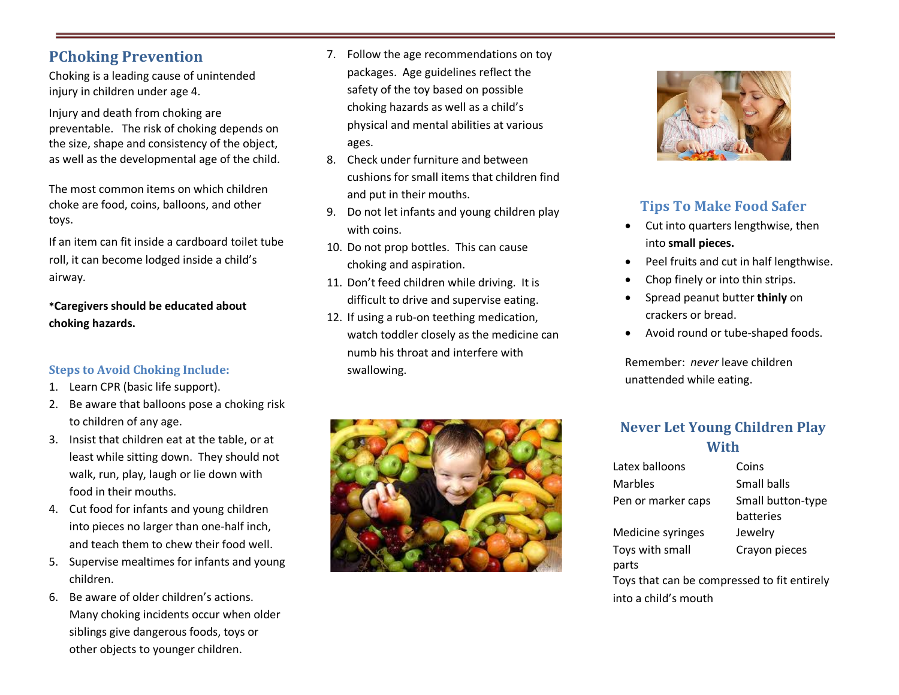### **PChoking Prevention**

Choking is a leading cause of unintended injury in children under age 4.

Injury and death from choking are preventable. The risk of choking depends on the size, shape and consistency of the object, as well as the developmental age of the child.

The most common items on which children choke are food, coins, balloons, and other toys.

If an item can fit inside a cardboard toilet tube roll, it can become lodged inside a child's airway.

**\*Caregivers should be educated about choking hazards.**

#### **Steps to Avoid Choking Include:**

- 1. Learn CPR (basic life support).
- 2. Be aware that balloons pose a choking risk to children of any age.
- 3. Insist that children eat at the table, or at least while sitting down. They should not walk, run, play, laugh or lie down with food in their mouths.
- 4. Cut food for infants and young children into pieces no larger than one-half inch, and teach them to chew their food well.
- 5. Supervise mealtimes for infants and young children.
- 6. Be aware of older children's actions. Many choking incidents occur when older siblings give dangerous foods, toys or other objects to younger children.
- 7. Follow the age recommendations on toy packages. Age guidelines reflect the safety of the toy based on possible choking hazards as well as a child's physical and mental abilities at various ages.
- 8. Check under furniture and between cushions for small items that children find and put in their mouths.
- 9. Do not let infants and young children play with coins.
- 10. Do not prop bottles. This can cause choking and aspiration.
- 11. Don't feed children while driving. It is difficult to drive and supervise eating.
- 12. If using a rub-on teething medication, watch toddler closely as the medicine can numb his throat and interfere with swallowing.





### **Tips To Make Food Safer**

- Cut into quarters lengthwise, then into **small pieces.**
- Peel fruits and cut in half lengthwise.
- Chop finely or into thin strips.
- Spread peanut butter **thinly** on crackers or bread.
- Avoid round or tube-shaped foods.

Remember: *never* leave children unattended while eating.

### **Never Let Young Children Play With**

| Latex balloons                              | Coins                          |  |
|---------------------------------------------|--------------------------------|--|
| Marbles                                     | Small balls                    |  |
| Pen or marker caps                          | Small button-type<br>batteries |  |
| Medicine syringes                           | Jewelry                        |  |
| Toys with small<br>parts                    | Crayon pieces                  |  |
| Toys that can be compressed to fit entirely |                                |  |
| into a child's mouth                        |                                |  |